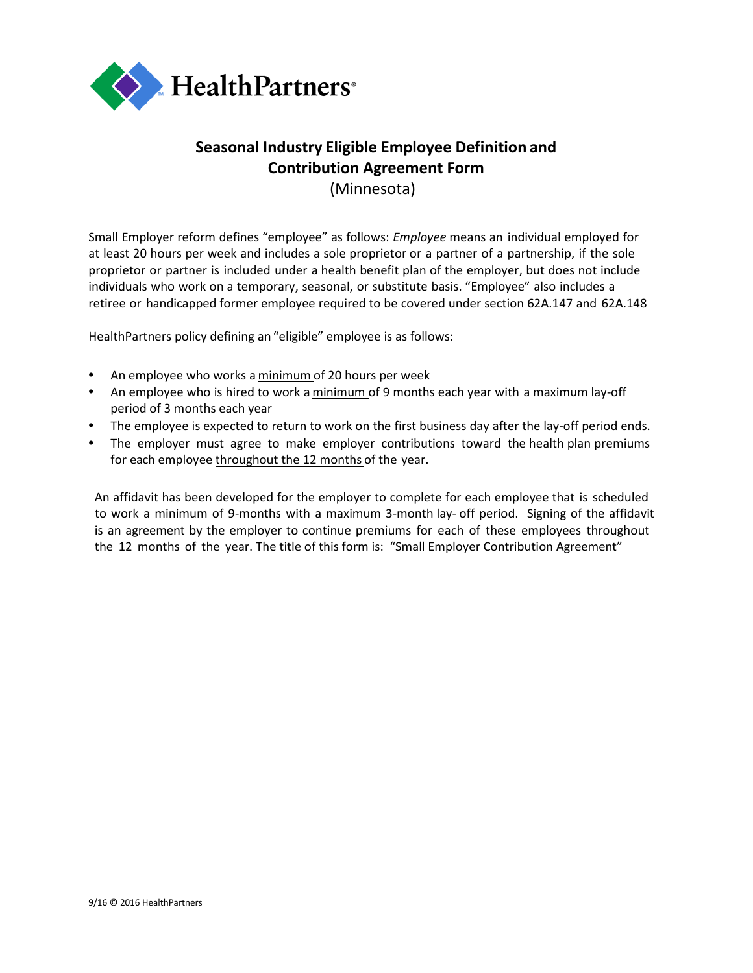

## **Seasonal Industry Eligible Employee Definition and Contribution Agreement Form** (Minnesota)

Small Employer reform defines "employee" as follows: *Employee* means an individual employed for at least 20 hours per week and includes a sole proprietor or a partner of a partnership, if the sole proprietor or partner is included under a health benefit plan of the employer, but does not include individuals who work on a temporary, seasonal, or substitute basis. "Employee" also includes a retiree or handicapped former employee required to be covered under section 62A.147 and 62A.148

HealthPartners policy defining an "eligible" employee is as follows:

- An employee who works a minimum of 20 hours per week
- An employee who is hired to work a minimum of 9 months each year with a maximum lay-off period of 3 months each year
- The employee is expected to return to work on the first business day after the lay-off period ends.
- The employer must agree to make employer contributions toward the health plan premiums for each employee throughout the 12 months of the year.

An affidavit has been developed for the employer to complete for each employee that is scheduled to work a minimum of 9-months with a maximum 3-month lay- off period. Signing of the affidavit is an agreement by the employer to continue premiums for each of these employees throughout the 12 months of the year. The title of this form is: "Small Employer Contribution Agreement"